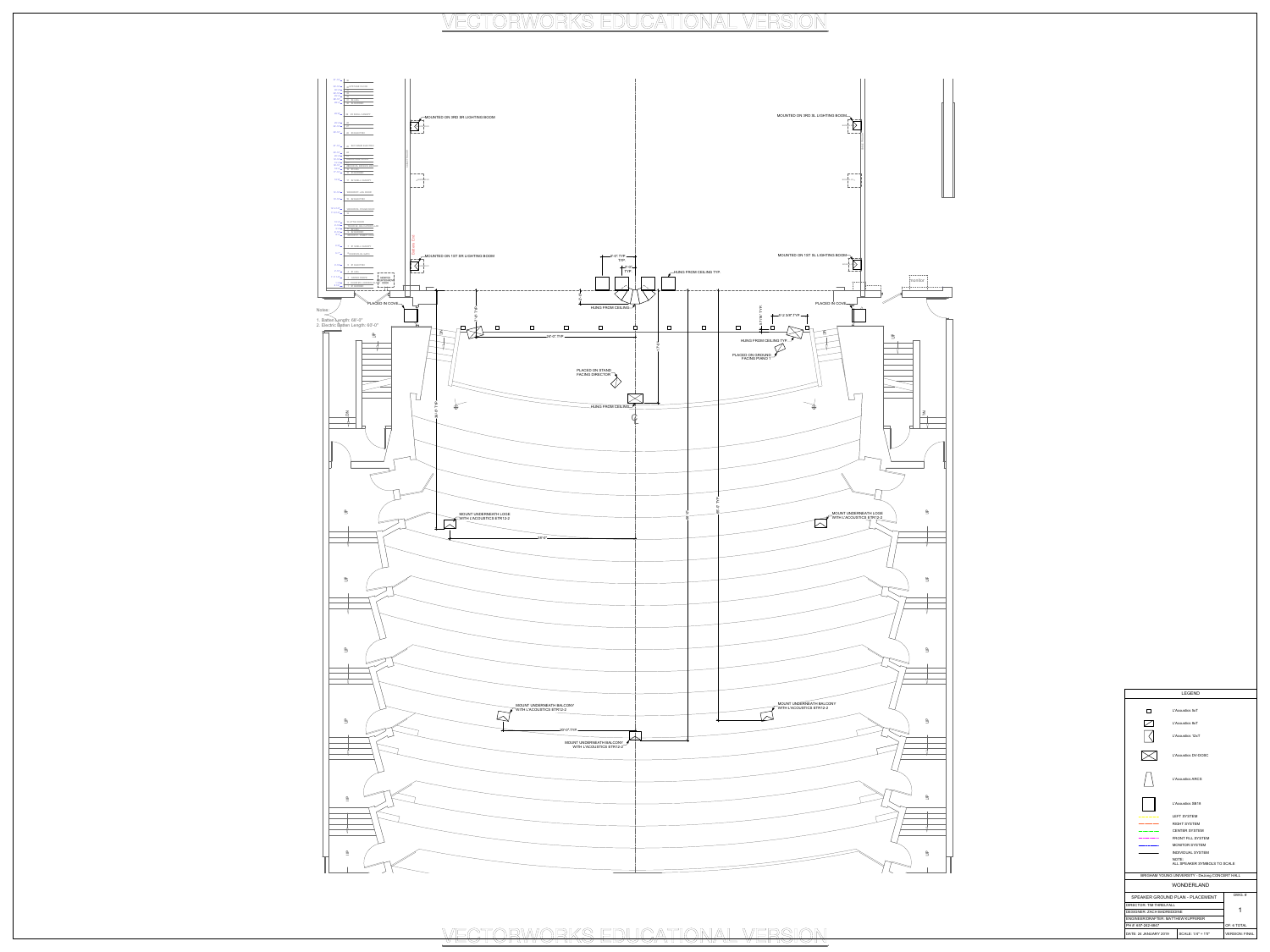

BRIGHAM YOUNG UNIVERSITY - DeJong CONCERT HALL WONDERLAND SPEAKER GROUND PLAN - PLACEMENT  $\blacksquare$ DIRECTOR: TIM THRELFALL DESIGNER: ZACH BADREDDINE PH #: 657-242-6847 ENGINEER/DRAFTER: MATTHEW KUPFERER DATE: 24 JANUARY 2019 SCALE: 1/4" = 1'0" VERSION: FINAL OF: 6 TOTAL DWG. # ALL SPEAKER SYMBOLS TO SCALE

### LEGEND

L'Acoustics 5xT L'Acoustics 8xT L'Acoustics 12xT

 $\Box$ 

 $\sum$ 

 $\boxtimes$ 

\_\_\_\_\_\_\_\_

 $\mathcal{L}_{\text{max}}$  and a second constant and  $\mathcal{L}_{\text{max}}$ 

 $\overbrace{\hspace{40pt}}^{ \qquad \qquad \qquad }$ 

L'Acoustics DV-DOSC

L'Acoustics ARCS

## L'Acoustics SB18 LEFT SYSTEM

RIGHT SYSTEM CENTER SYSTEM FRONT FILL SYSTEM MONITOR SYSTEM INDIVIDUAL SYSTEM NOTE:

VECTORWORKS EDUCATIONAL VERSION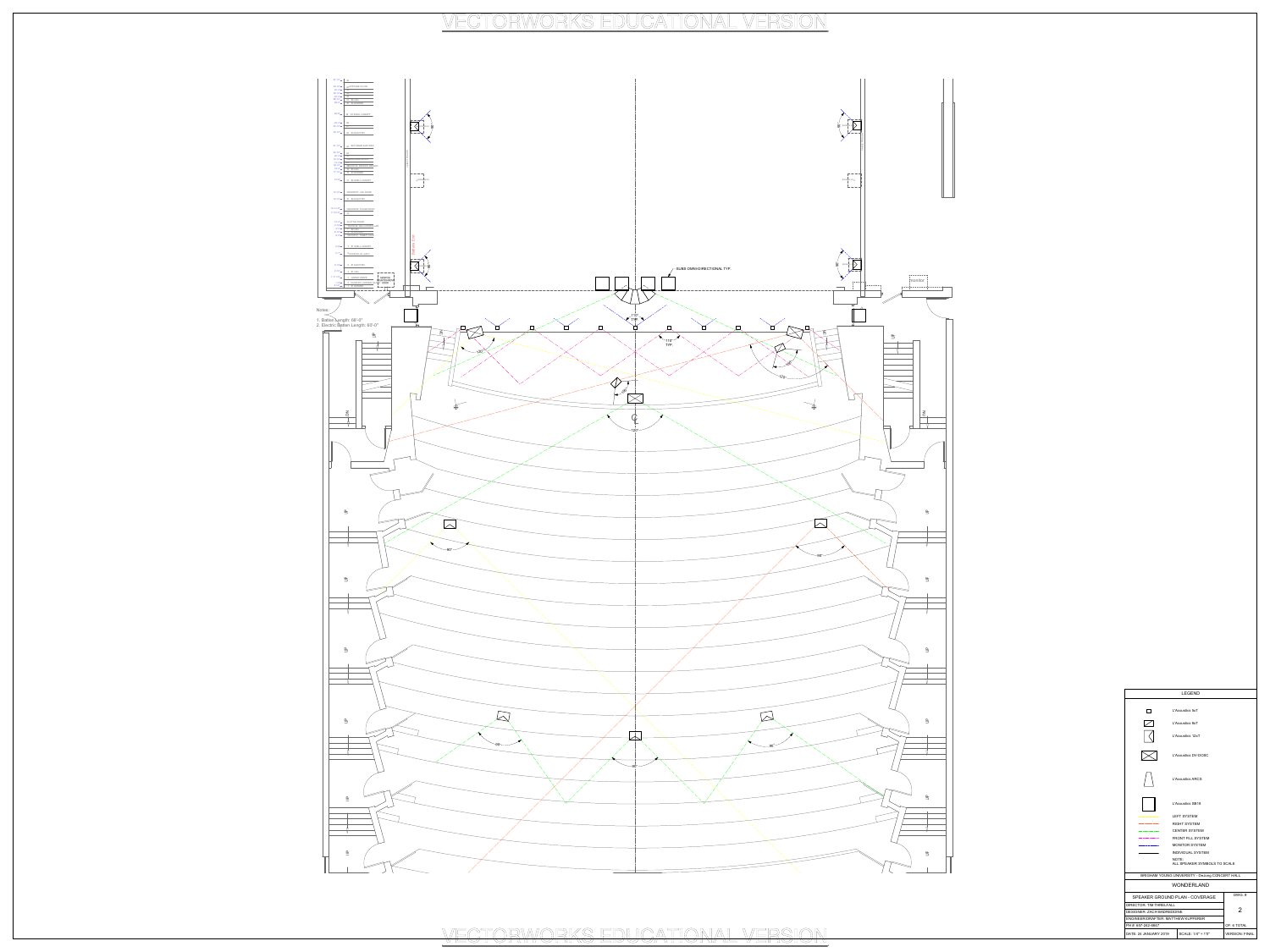## L'Acoustics SB18  $------$  LEFT SYSTEM



BRIGHAM YOUNG UNIVERSITY - DeJong CONCERT HALL WONDERLAND SPEAKER GROUND PLAN - COVERAGE 2 DIRECTOR: TIM THRELFALL DESIGNER: ZACH BADREDDINE PH #: 657-242-6847 ENGINEER/DRAFTER: MATTHEW KUPFERER OF: 6 TOTAL DWG. # INDIVIDUAL SYSTEM ALL SPEAKER SYMBOLS TO SCALE

DATE: 24 JANUARY 2019 SCALE: 1/4" = 1'0" VERSION: FINAL

### LEGEND

L'Acoustics 5xT L'Acoustics 8xT L'Acoustics 12xT L'Acoustics DV-DOSC

 $\Box$ 

 $\sum$ 

 $\boxtimes$ 

 $\overline{\phantom{a}}$ 

 $\mathcal{L}_{\text{max}}$  and a sequence of the second second  $\mathcal{L}_{\text{max}}$ 

L'Acoustics ARCS

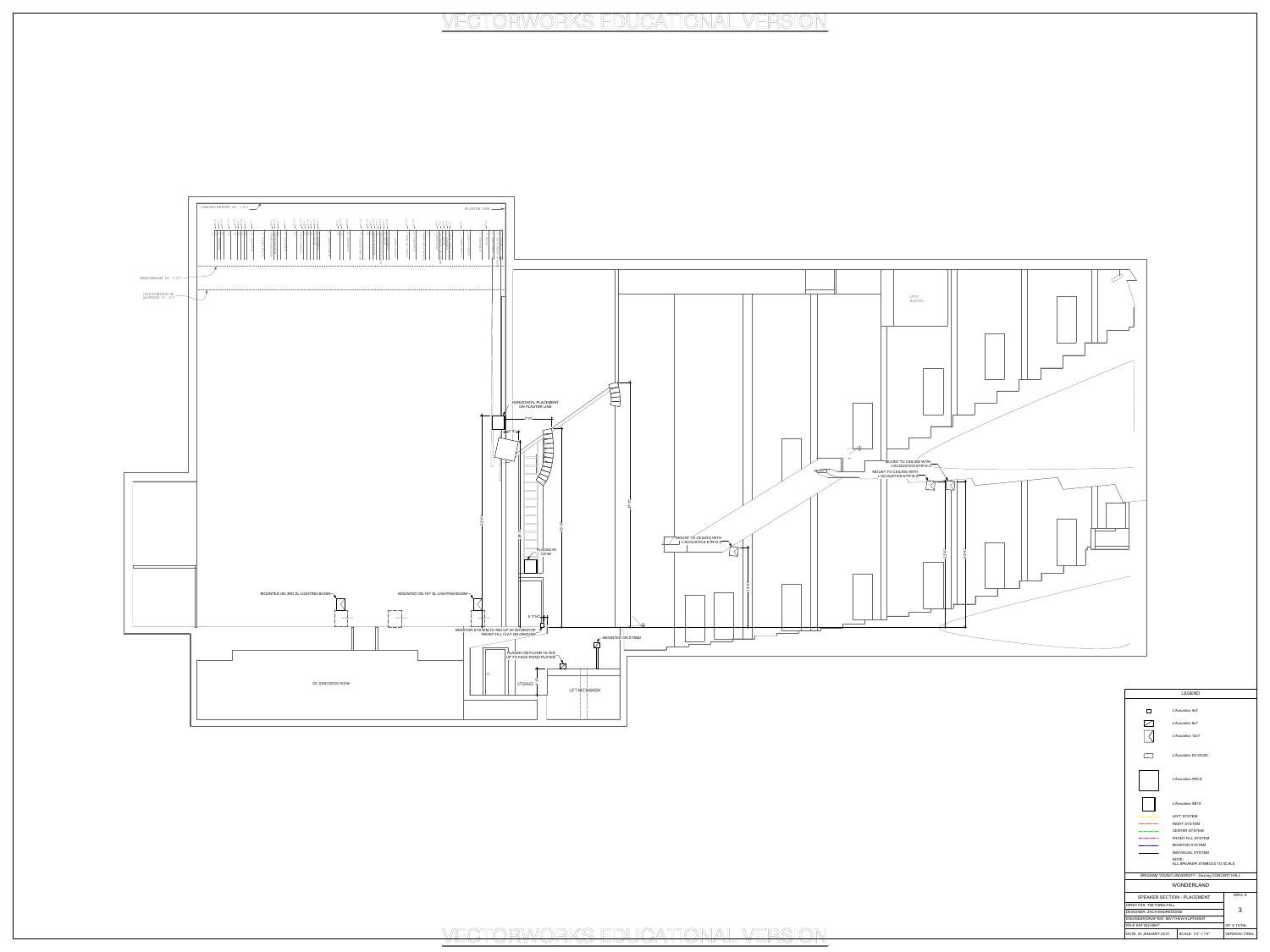

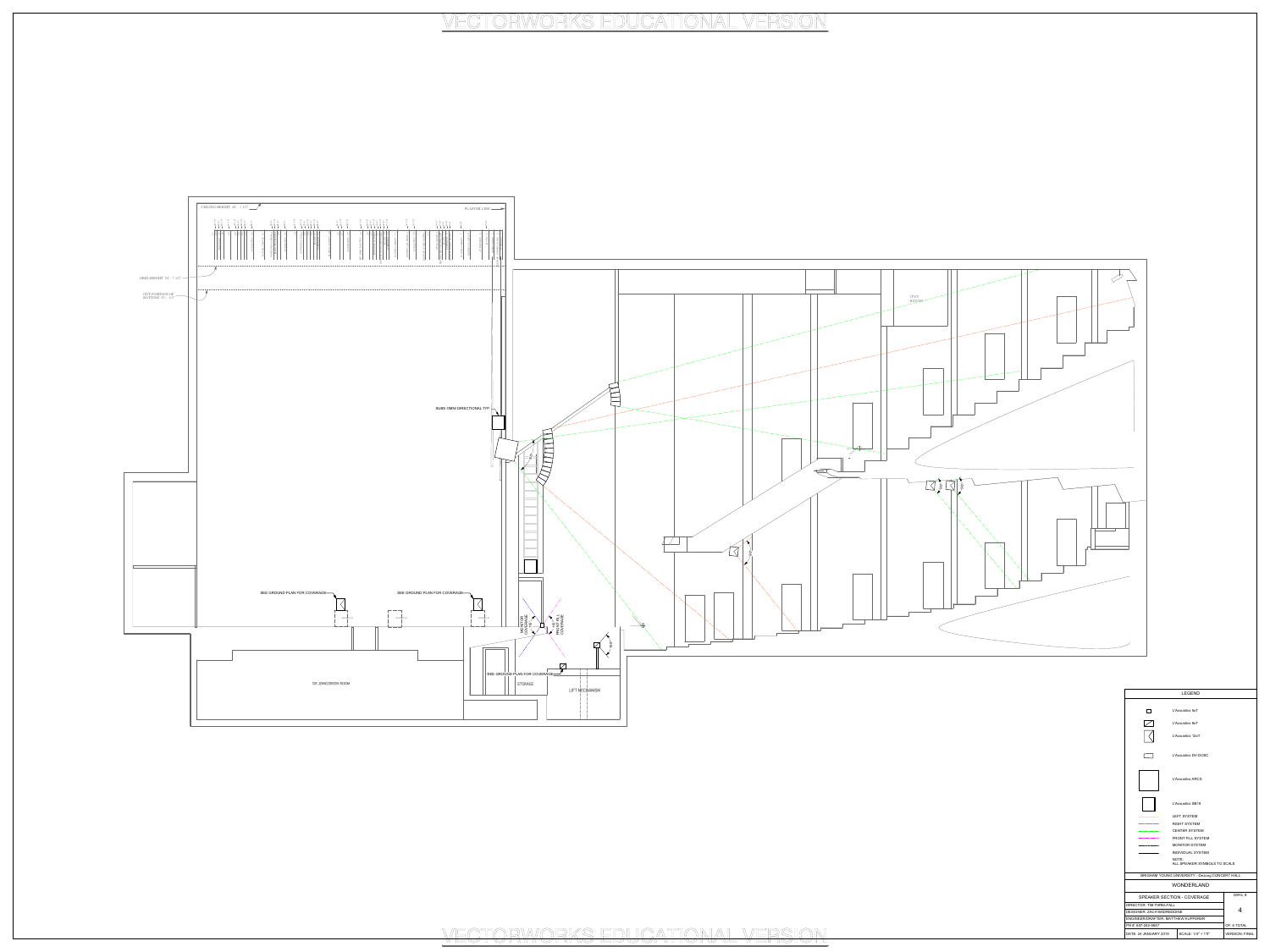

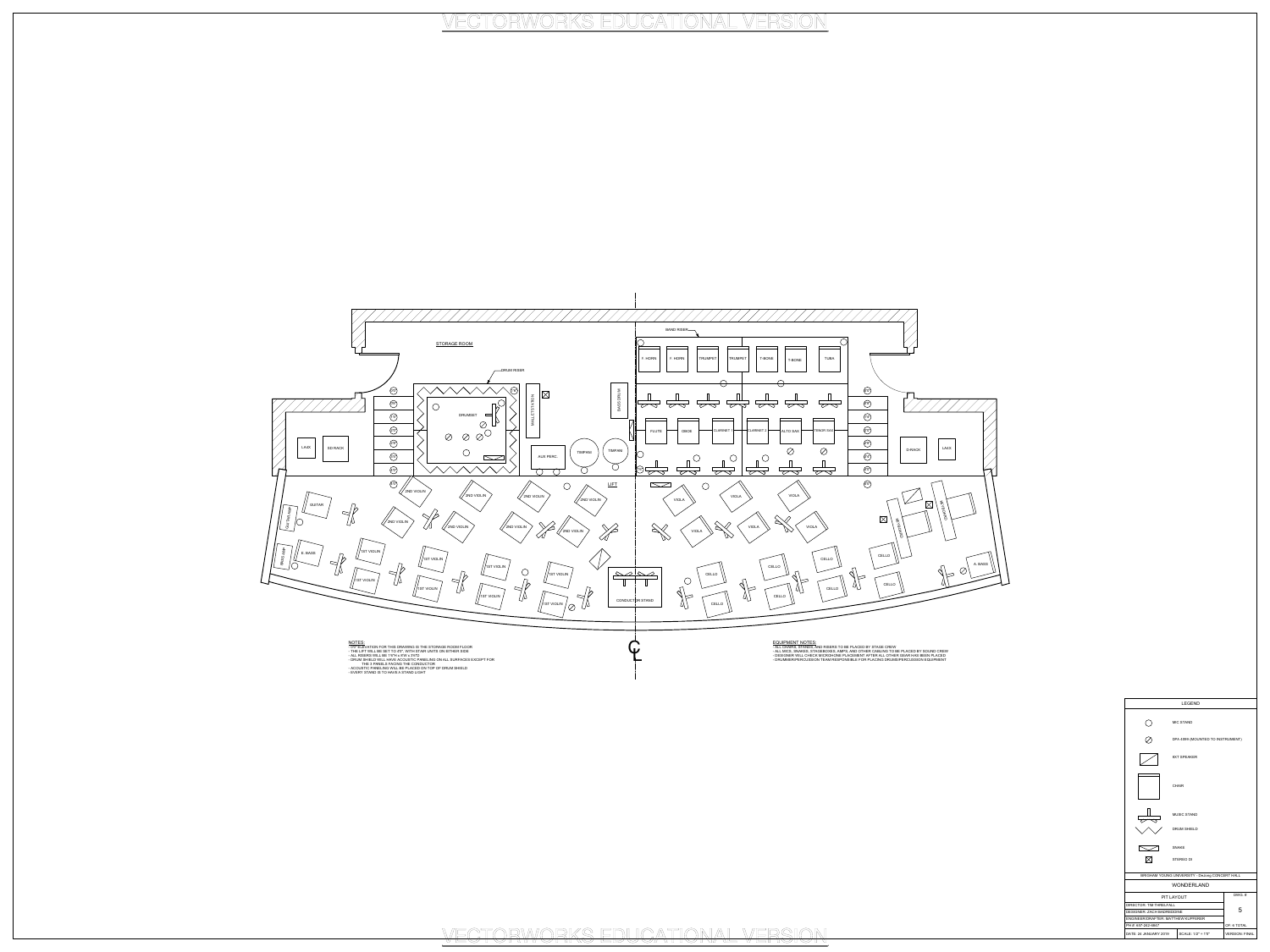- ALL CHAIRS, STANDS, AND RISERS TO BE PLACED BY STAGE CREW - ALL MICS, SNAKES, STAGEBOXES, AMPS, AND OTHER CABLING TO BE PLACED BY SOUND CREW - DESIGNER WILL CHECK MICROHONE PLACEMENT AFTER ALL OTHER GEAR HAS BEEN PLACED - DRUMMER/PERCUSSION TEAM RESPONSIBLE FOR PLACING DRUMS/PERCUSSION EQUIPMENT

- 0'0" ELEVATION FOR THIS DRAWING IS THE STORAGE ROOM FLOOR - THE LIFT WILL BE SET TO 4'0", WITH STAIR UNITS ON EITHER SIDE



- ALL RISERS WILL BE 1'6"H x 8'W x 3'6"D - DRUM SHIELD WILL HAVE ACOUSTIC PANELING ON ALL SURFACES EXCEPT FOR THE 3 PANELS FACING THE CONDUCTOR

- ACOUSTIC PANELING WILL BE PLACED ON TOP OF DRUM SHIELD - EVERY STAND IS TO HAVE A STAND LIGHT

| <b>LEGEND</b>                             |                    |                                                |  |  |  |
|-------------------------------------------|--------------------|------------------------------------------------|--|--|--|
|                                           |                    | <b>MIC STAND</b>                               |  |  |  |
|                                           |                    | DPA 4099 (MOUNTED TO INSTRUMENT)               |  |  |  |
|                                           |                    | <b>8XT SPEAKER</b>                             |  |  |  |
|                                           |                    | <b>CHAIR</b>                                   |  |  |  |
|                                           | <b>MUSIC STAND</b> |                                                |  |  |  |
|                                           | <b>DRUM SHIELD</b> |                                                |  |  |  |
|                                           |                    | <b>SNAKE</b>                                   |  |  |  |
|                                           |                    | <b>STEREO DI</b>                               |  |  |  |
|                                           |                    | BRIGHAM YOUNG UNIVERSITY - DeJong CONCERT HALL |  |  |  |
|                                           |                    | <b>WONDERLAND</b>                              |  |  |  |
| DWG.#<br><b>PIT LAYOUT</b>                |                    |                                                |  |  |  |
| <b>DIRECTOR: TIM THRELFALL</b>            |                    |                                                |  |  |  |
| 5<br><b>DESIGNER: ZACH BADREDDINE</b>     |                    |                                                |  |  |  |
| <b>ENGINEER/DRAFTER: MATTHEW KUPFERER</b> |                    |                                                |  |  |  |
| OF: 6 TOTAL<br>PH #: 657-242-6847         |                    |                                                |  |  |  |
| DATE: 24 JANUARY 2019                     | SCALE: 1/2" = 1'0" | <b>VERSION: FINAL</b>                          |  |  |  |

# VECTORWORKS EDUCATIONAL VERSION